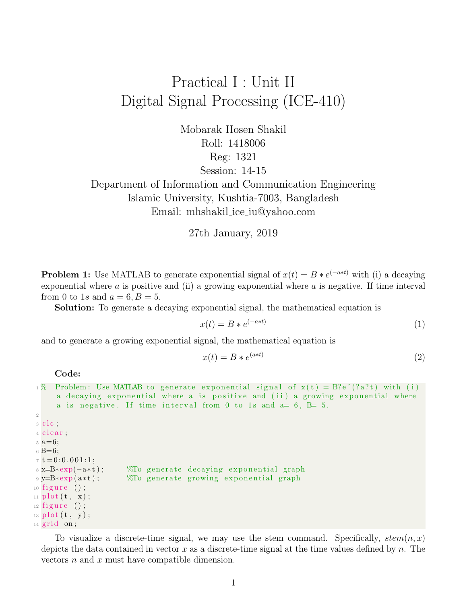## Practical I : Unit II Digital Signal Processing (ICE-410)

Mobarak Hosen Shakil Roll: 1418006 Reg: 1321 Session: 14-15 Department of Information and Communication Engineering

Islamic University, Kushtia-7003, Bangladesh Email: mhshakil ice iu@yahoo.com

27th January, 2019

**Problem 1:** Use MATLAB to generate exponential signal of  $x(t) = B * e^{(-a*t)}$  with (i) a decaying exponential where  $\alpha$  is positive and (ii) a growing exponential where  $\alpha$  is negative. If time interval from 0 to 1s and  $a = 6, B = 5$ .

Solution: To generate a decaying exponential signal, the mathematical equation is

$$
x(t) = B * e^{(-a*t)}
$$
\n<sup>(1)</sup>

and to generate a growing exponential signal, the mathematical equation is

$$
x(t) = B * e^{(a*t)}
$$
\n<sup>(2)</sup>

Code:

```
1\% Problem: Use MATLAB to generate exponential signal of x(t) = B\e (2a)t) with (i)
      a decaying exponential where a is positive and (ii) a growing exponential where
      a is negative. If time interval from 0 to 1s and a= 6, B= 5.
2
3 clc;
4 clear;
5 a=6;6 B=6;7 t = 0:0.001:1;s \mathbf{x} = \mathbf{B} * \exp(-\mathbf{a} * \mathbf{t}); %To generate decaying exponential graph
9 y=B*exp(a*t); %To generate growing exponential graph
_{10} figure ();
_{11} plot (t, x);
_{12} figure ();
_{13} plot (t, y);
_{14} grid on;
```
To visualize a discrete-time signal, we may use the stem command. Specifically,  $stem(n, x)$ depicts the data contained in vector x as a discrete-time signal at the time values defined by n. The vectors n and x must have compatible dimension.